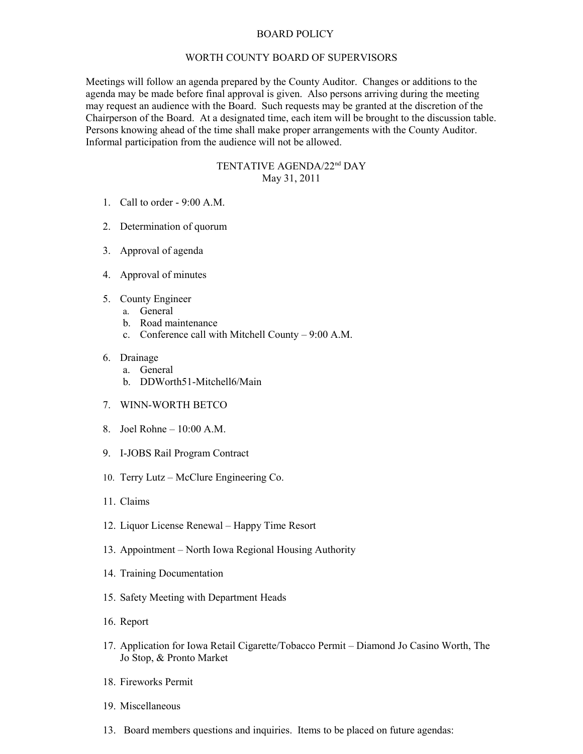## BOARD POLICY

## WORTH COUNTY BOARD OF SUPERVISORS

Meetings will follow an agenda prepared by the County Auditor. Changes or additions to the agenda may be made before final approval is given. Also persons arriving during the meeting may request an audience with the Board. Such requests may be granted at the discretion of the Chairperson of the Board. At a designated time, each item will be brought to the discussion table. Persons knowing ahead of the time shall make proper arrangements with the County Auditor. Informal participation from the audience will not be allowed.

## TENTATIVE AGENDA/22nd DAY May 31, 2011

- 1. Call to order 9:00 A.M.
- 2. Determination of quorum
- 3. Approval of agenda
- 4. Approval of minutes
- 5. County Engineer
	- a. General
	- b. Road maintenance
	- c. Conference call with Mitchell County 9:00 A.M.
- 6. Drainage
	- a. General
	- b. DDWorth51-Mitchell6/Main
- 7. WINN-WORTH BETCO
- 8. Joel Rohne 10:00 A.M.
- 9. I-JOBS Rail Program Contract
- 10. Terry Lutz McClure Engineering Co.
- 11. Claims
- 12. Liquor License Renewal Happy Time Resort
- 13. Appointment North Iowa Regional Housing Authority
- 14. Training Documentation
- 15. Safety Meeting with Department Heads
- 16. Report
- 17. Application for Iowa Retail Cigarette/Tobacco Permit Diamond Jo Casino Worth, The Jo Stop, & Pronto Market
- 18. Fireworks Permit
- 19. Miscellaneous
- 13. Board members questions and inquiries. Items to be placed on future agendas: